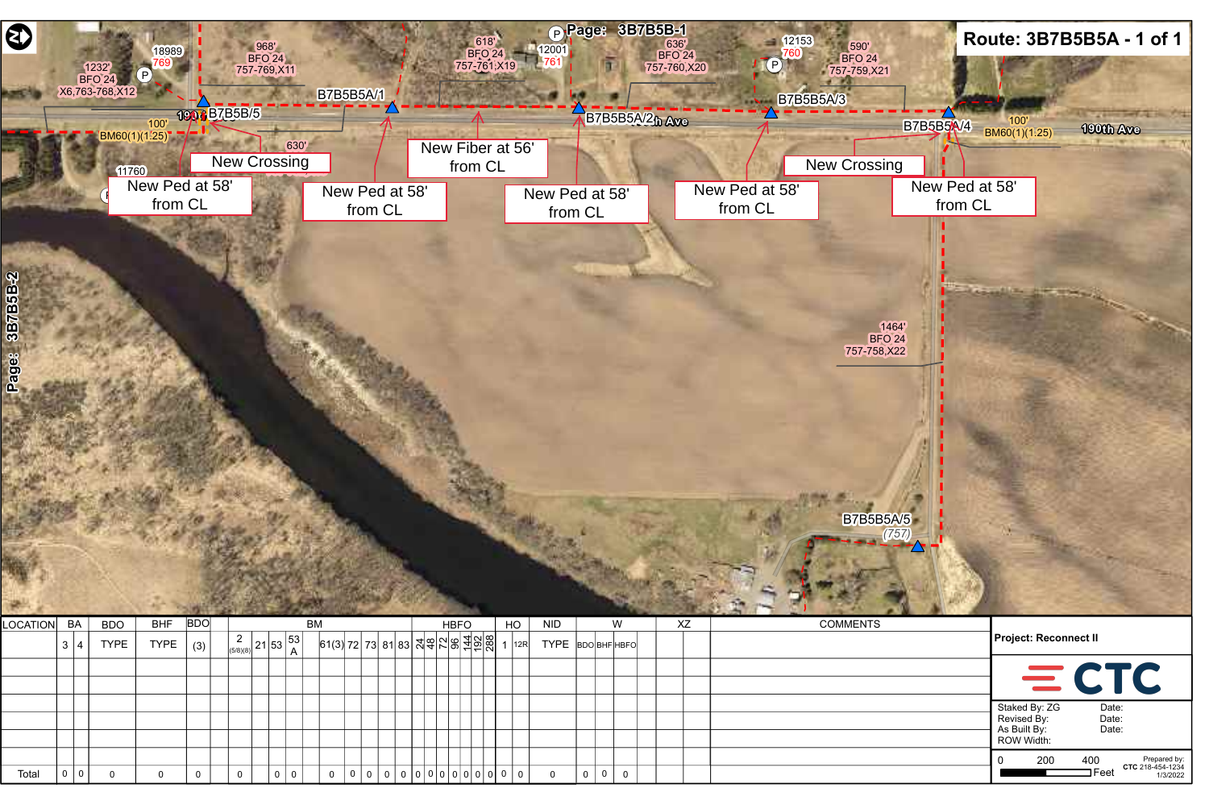